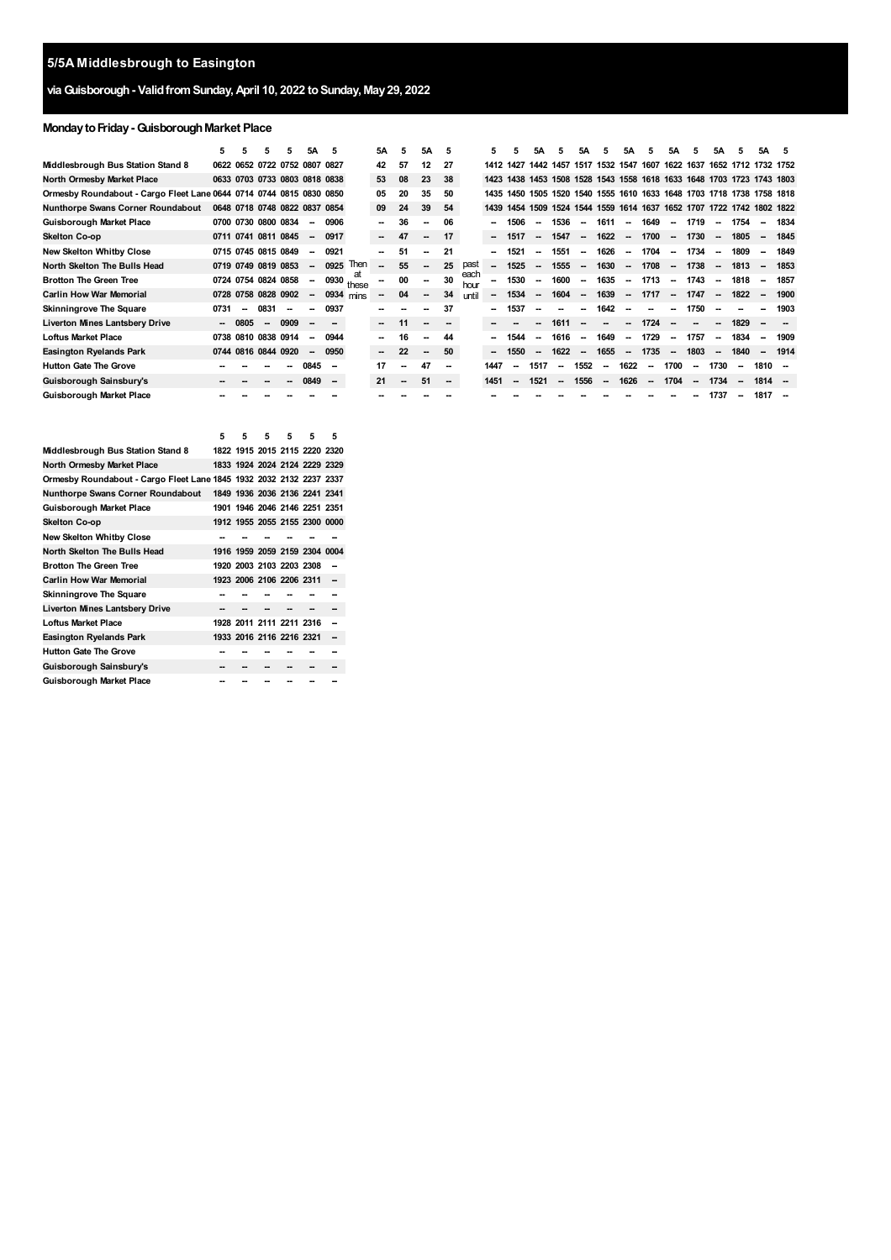# **viaGuisborough- ValidfromSunday,April 10, 2022 toSunday, May29, 2022**

# **MondaytoFriday-GuisboroughMarket Place**

|                                                                     | 5    | 5       | 5      |                               | 5А     | 5      |             | 5Α                       | 5      | 5A     | 5      |              | 5                        |           | 5Α                       |                          | 5Α                       | 5      | 5А                       | 5                        | 5Α                       | 5                        | 5A                       | 5                        | 5A                                                          | -5   |
|---------------------------------------------------------------------|------|---------|--------|-------------------------------|--------|--------|-------------|--------------------------|--------|--------|--------|--------------|--------------------------|-----------|--------------------------|--------------------------|--------------------------|--------|--------------------------|--------------------------|--------------------------|--------------------------|--------------------------|--------------------------|-------------------------------------------------------------|------|
| Middlesbrough Bus Station Stand 8                                   |      |         |        | 0622 0652 0722 0752 0807 0827 |        |        |             | 42                       | 57     | 12     | 27     |              | 1412 1427                |           | 1442 1457                |                          | 1517 1532 1547           |        |                          | 1607                     |                          | 1622 1637                |                          |                          | 1652 1712 1732 1752                                         |      |
| North Ormesby Market Place                                          |      |         |        | 0633 0703 0733 0803 0818 0838 |        |        |             | 53                       | 08     | 23     | 38     |              |                          | 1423 1438 |                          |                          |                          |        |                          |                          |                          |                          |                          |                          | 1453 1508 1528 1543 1558 1618 1633 1648 1703 1723 1743 1803 |      |
| Ormesby Roundabout - Cargo Fleet Lane 0644 0714 0744 0815 0830 0850 |      |         |        |                               |        |        |             | 05                       | 20     | 35     | 50     |              | 1435                     | 1450      |                          |                          |                          |        |                          |                          |                          |                          |                          |                          | 1505 1520 1540 1555 1610 1633 1648 1703 1718 1738 1758 1818 |      |
| <b>Nunthorpe Swans Corner Roundabout</b>                            |      |         |        | 0648 0718 0748 0822 0837 0854 |        |        |             | 09                       | 24     | 39     | 54     |              | 1439                     | 1454      |                          |                          |                          |        |                          |                          |                          |                          |                          |                          | 1509 1524 1544 1559 1614 1637 1652 1707 1722 1742 1802 1822 |      |
| Guisborough Market Place                                            |      |         |        | 0700 0730 0800 0834           | --     | 0906   |             | ۰.                       | 36     | --     | 06     |              | --                       | 1506      | -                        | 1536                     |                          | 1611   | $\sim$                   | 1649                     | $\overline{\phantom{a}}$ | 1719                     |                          | 1754                     | $\sim$                                                      | 1834 |
| Skelton Co-op                                                       |      |         |        | 0711 0741 0811 0845           | $\sim$ | 0917   |             | $\sim$                   | 47     | $\sim$ | 17     |              | $\sim$                   | 1517      | $\overline{\phantom{a}}$ | 1547                     | $\overline{\phantom{a}}$ | 1622   | $\overline{\phantom{a}}$ | 1700                     | $\overline{\phantom{a}}$ | 1730                     | $\sim$                   | 1805                     | $\overline{\phantom{a}}$                                    | 1845 |
| <b>New Skelton Whitby Close</b>                                     |      |         |        | 0715 0745 0815 0849           | -      | 0921   |             | $\overline{\phantom{a}}$ | 51     | --     | 21     |              | $\overline{\phantom{a}}$ | 1521      | --                       | 1551                     | $\overline{\phantom{a}}$ | 1626   | $\overline{\phantom{a}}$ | 1704                     | $\overline{\phantom{a}}$ | 1734                     | $\overline{\phantom{a}}$ | 1809                     | --                                                          | 1849 |
| North Skelton The Bulls Head                                        |      |         |        | 0719 0749 0819 0853           | $\sim$ | 0925   | Then        | --                       | 55     |        | 25     | past         | $\overline{\phantom{a}}$ | 1525      | $\overline{\phantom{a}}$ | 1555                     | $\overline{\phantom{a}}$ | 1630   | $\sim$                   | 1708                     | $\overline{\phantom{a}}$ | 1738                     | $\sim$                   | 1813                     | $\overline{\phantom{a}}$                                    | 1853 |
| <b>Brotton The Green Tree</b>                                       |      |         |        | 0724 0754 0824 0858           | -      | 0930   | at<br>these | --                       | 00     |        | 30     | each<br>hour | --                       | 1530      | $\overline{\phantom{a}}$ | 1600                     | $\overline{\phantom{a}}$ | 1635   | $\sim$                   | 1713                     | $\overline{\phantom{a}}$ | 1743                     | $\sim$                   | 1818                     | $\overline{\phantom{a}}$                                    | 1857 |
| <b>Carlin How War Memorial</b>                                      |      |         |        | 0728 0758 0828 0902           | -      | 0934   | mins        | --                       | 04     | $\sim$ | 34     | until        |                          | 1534      | --                       | 1604                     | $\overline{\phantom{a}}$ | 1639   | $\overline{\phantom{a}}$ | 1717                     | $\overline{\phantom{a}}$ | 1747                     | $\overline{a}$           | 1822                     | $\overline{\phantom{a}}$                                    | 1900 |
| <b>Skinningrove The Square</b>                                      | 0731 | $\sim$  | 0831   | --                            | --     | 0937   |             | --                       |        | --     | 37     |              | --                       | 1537      | --                       |                          | --                       | 1642   | $\sim$                   |                          | -                        | 1750                     | --                       |                          | --                                                          | 1903 |
| <b>Liverton Mines Lantsbery Drive</b>                               |      | $-0805$ | $\sim$ | 0909                          | $\sim$ |        |             | $\sim$                   | 11     | $\sim$ | --     |              | --                       |           |                          | 1611                     |                          |        |                          | 1724                     |                          |                          |                          | 1829                     |                                                             |      |
| <b>Loftus Market Place</b>                                          | 0738 |         |        | 0810 0838 0914                |        | 0944   |             | --                       | 16     |        | 44     |              |                          | 1544      |                          | 1616                     |                          | 1649   |                          | 1729                     |                          | 1757                     |                          | 1834                     |                                                             | 1909 |
| <b>Easington Ryelands Park</b>                                      |      |         |        | 0744 0816 0844 0920           | $\sim$ | 0950   |             | $\sim$                   | 22     | $\sim$ | 50     |              | -                        | 1550      | --                       | 1622                     |                          | 1655   | $\sim$                   | 1735                     | $\sim$                   | 1803                     | $\overline{a}$           | 1840                     | --                                                          | 1914 |
| <b>Hutton Gate The Grove</b>                                        |      |         |        |                               | 0845   |        |             | 17                       |        | 47     | --     |              | 1447                     |           | 1517                     | $\overline{\phantom{a}}$ | 1552                     |        | 1622                     | $\overline{\phantom{a}}$ | 1700                     | -                        | 1730                     | $\overline{\phantom{a}}$ | 1810                                                        |      |
| Guisborough Sainsbury's                                             |      |         |        |                               | 0849   | $\sim$ |             | 21                       | $\sim$ | 51     | $\sim$ |              | 1451                     |           | 1521                     | $\overline{\phantom{a}}$ | 1556                     | $\sim$ | 1626                     | $\overline{\phantom{a}}$ | 1704                     | $\overline{\phantom{a}}$ | 1734                     |                          | 1814                                                        |      |
| Guisborough Market Place                                            |      |         |        |                               |        |        |             |                          |        |        |        |              |                          |           |                          |                          |                          |        |                          |                          |                          |                          | 1737                     | $\overline{\phantom{a}}$ | 1817                                                        |      |

|                                                                     | 5 | 5                             | 5 | 5 | 5 | 5 |
|---------------------------------------------------------------------|---|-------------------------------|---|---|---|---|
| Middlesbrough Bus Station Stand 8                                   |   | 1822 1915 2015 2115 2220 2320 |   |   |   |   |
| North Ormesby Market Place                                          |   | 1833 1924 2024 2124 2229 2329 |   |   |   |   |
| Ormesby Roundabout - Cargo Fleet Lane 1845 1932 2032 2132 2237 2337 |   |                               |   |   |   |   |
| Nunthorpe Swans Corner Roundabout                                   |   | 1849 1936 2036 2136 2241 2341 |   |   |   |   |
| Guisborough Market Place                                            |   | 1901 1946 2046 2146 2251 2351 |   |   |   |   |
| Skelton Co-op                                                       |   | 1912 1955 2055 2155 2300 0000 |   |   |   |   |
| New Skelton Whitby Close                                            |   |                               |   |   |   |   |
| North Skelton The Bulls Head                                        |   | 1916 1959 2059 2159 2304 0004 |   |   |   |   |
| <b>Brotton The Green Tree</b>                                       |   | 1920 2003 2103 2203 2308      |   |   |   |   |
| Carlin How War Memorial                                             |   | 1923 2006 2106 2206 2311      |   |   |   |   |
| Skinningrove The Square                                             |   |                               |   |   |   |   |
| <b>Liverton Mines Lantsbery Drive</b>                               |   |                               |   |   |   |   |
| Loftus Market Place                                                 |   | 1928 2011 2111 2211 2316      |   |   |   |   |
| Easington Ryelands Park                                             |   | 1933 2016 2116 2216 2321      |   |   |   |   |
| Hutton Gate The Grove                                               |   |                               |   |   |   |   |
| Guisborough Sainsbury's                                             |   |                               |   |   |   |   |
| Guisborough Market Place                                            |   |                               |   |   |   |   |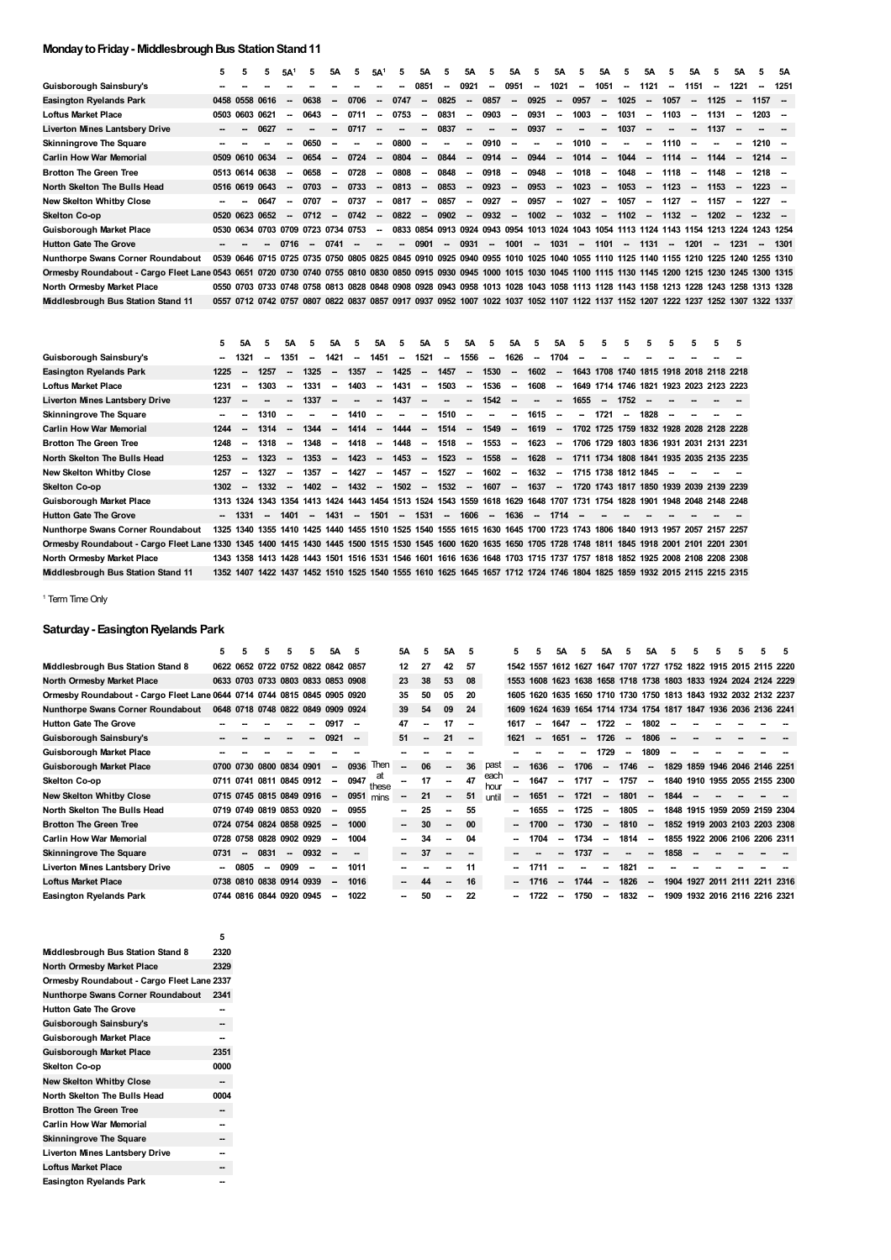# **Monday to Friday - Middlesbrough Bus Station Stand 11**

|                                                                                                                                                                         | 5              | 5 | 5              | 5A <sup>1</sup>          | 5                                  | 5А                       | 5    | 5A <sup>1</sup>          | 5                        | 5Α                       | 5                        | <b>5A</b>                | 5                        | <b>5A</b>                | 5                        | <b>5A</b>                | 5                                                                                                                                 | 5A     | 5.      | 5A                       | 5.     | 5A                       | 5      | 5А                       | 5.                       | 5Α   |
|-------------------------------------------------------------------------------------------------------------------------------------------------------------------------|----------------|---|----------------|--------------------------|------------------------------------|--------------------------|------|--------------------------|--------------------------|--------------------------|--------------------------|--------------------------|--------------------------|--------------------------|--------------------------|--------------------------|-----------------------------------------------------------------------------------------------------------------------------------|--------|---------|--------------------------|--------|--------------------------|--------|--------------------------|--------------------------|------|
| Guisborough Sainsbury's                                                                                                                                                 |                |   |                |                          |                                    |                          |      |                          | $\overline{\phantom{a}}$ | 0851                     | $\overline{\phantom{a}}$ | 0921                     | $\overline{\phantom{a}}$ | 0951                     | $\sim$                   | 1021                     | $\sim$                                                                                                                            | 1051   | -       | 1121                     | $\sim$ | 1151                     | $\sim$ | 1221                     | $\overline{\phantom{a}}$ | 1251 |
| <b>Easington Ryelands Park</b>                                                                                                                                          |                |   | 0458 0558 0616 | $\overline{\phantom{a}}$ | 0638                               | -                        | 0706 | $\sim$                   | 0747                     | $\sim$                   | 0825                     | $\overline{\phantom{a}}$ | 0857                     | $\sim$                   | 0925                     | $\overline{\phantom{a}}$ | 0957                                                                                                                              | $\sim$ | 1025    | $\sim$                   | 1057   | $\sim$                   | 1125   | $\overline{\phantom{a}}$ | $1157 -$                 |      |
| <b>Loftus Market Place</b>                                                                                                                                              | 0503 0603 0621 |   |                | $\overline{\phantom{a}}$ | 0643                               | -                        | 0711 | $\overline{\phantom{a}}$ | 0753                     | $\sim$                   | 0831                     | $\overline{\phantom{a}}$ | 0903                     | $\overline{\phantom{a}}$ | 0931                     | $\overline{\phantom{a}}$ | 1003                                                                                                                              | $\sim$ | 1031    | $\sim$                   | 1103   | $\sim$                   | 1131   | $\sim$                   | 1203                     |      |
| <b>Liverton Mines Lantsbery Drive</b>                                                                                                                                   |                |   | 0627           |                          |                                    |                          | 0717 |                          | -                        | $\overline{\phantom{a}}$ | 0837                     | $\overline{\phantom{a}}$ | -                        | $\sim$                   | 0937                     | $\overline{\phantom{a}}$ | --                                                                                                                                | $\sim$ | 1037    | $\sim$                   | $\sim$ | $\sim$                   | 1137   |                          |                          |      |
| <b>Skinningrove The Square</b>                                                                                                                                          |                |   |                |                          | 0650                               | $\overline{\phantom{a}}$ |      | -                        | 0800                     | -                        | -                        | -                        | 0910                     | $\overline{\phantom{a}}$ | $\overline{\phantom{a}}$ | $\overline{\phantom{a}}$ | 1010                                                                                                                              | $\sim$ | ۰.      | $\overline{\phantom{a}}$ | 1110   | $\overline{\phantom{a}}$ |        | --                       | $1210 -$                 |      |
| <b>Carlin How War Memorial</b>                                                                                                                                          |                |   | 0509 0610 0634 | $\overline{\phantom{a}}$ | 0654                               | $\overline{\phantom{a}}$ | 0724 | $\overline{\phantom{a}}$ | 0804                     | $\sim$                   | 0844                     | $\sim$                   | 0914                     | $\sim$                   | 0944                     | $\overline{\phantom{a}}$ | 1014                                                                                                                              | $\sim$ | 1044    | $\sim$                   | 1114   | $\sim$                   | 1144   | $\overline{\phantom{a}}$ | $1214 -$                 |      |
| <b>Brotton The Green Tree</b>                                                                                                                                           |                |   | 0513 0614 0638 | $\overline{\phantom{a}}$ | 0658                               | $\overline{\phantom{a}}$ | 0728 | $\overline{\phantom{a}}$ | 0808                     | $\sim$                   | 0848                     | $\sim$                   | 0918                     | $\overline{\phantom{a}}$ | 0948                     | $\overline{\phantom{a}}$ | 1018                                                                                                                              | $\sim$ | 1048    | $\sim$                   | 1118   | $\sim$                   | 1148   | $\sim$                   | $1218 -$                 |      |
| North Skelton The Bulls Head                                                                                                                                            |                |   | 0516 0619 0643 | $\sim$                   | 0703                               | $\overline{\phantom{a}}$ | 0733 | $\overline{\phantom{a}}$ | 0813                     | $\sim$                   | 0853                     | $\sim$                   | 0923                     | $\sim$                   | 0953                     | $\overline{\phantom{a}}$ | 1023                                                                                                                              | $\sim$ | 1053    | $\sim$                   | 1123   | $\sim$                   | 1153   | $\sim$                   | $1223 -$                 |      |
| <b>New Skelton Whitby Close</b>                                                                                                                                         |                |   | 0647           | $\overline{\phantom{a}}$ | 0707                               | $\overline{\phantom{a}}$ | 0737 | $\overline{\phantom{a}}$ | 0817                     | $\sim$                   | 0857                     | $\sim$                   | 0927                     | $\overline{\phantom{a}}$ | 0957                     | $\overline{\phantom{a}}$ | 1027                                                                                                                              | $\sim$ | 1057    | $\sim$                   | 1127   | $\sim$                   | 1157   | $\sim$                   | 1227                     |      |
| Skelton Co-op                                                                                                                                                           | 0520           |   | 0623 0652      | $\overline{\phantom{a}}$ | 0712                               | $\sim$                   | 0742 | $\sim$                   | 0822                     | $\sim$                   | 0902                     | $\sim$                   | 0932                     | $\sim$                   | 1002                     | $\overline{\phantom{a}}$ | 1032                                                                                                                              |        | $-1102$ | $\sim$                   | 1132   | $\sim$                   | 1202   | $\overline{\phantom{a}}$ | $1232 -$                 |      |
| <b>Guisborough Market Place</b>                                                                                                                                         |                |   |                |                          | 0530 0634 0703 0709 0723 0734 0753 |                          |      | $\overline{\phantom{a}}$ |                          |                          |                          |                          |                          |                          |                          |                          | 0833 0854 0913 0924 0943 0954 1013 1024 1043 1054 1113 1124 1143 1154 1213 1224 1243 1254                                         |        |         |                          |        |                          |        |                          |                          |      |
| <b>Hutton Gate The Grove</b>                                                                                                                                            |                |   | $\sim$         | 0716                     | $\sim$                             | 0741                     |      | -                        | $\overline{\phantom{a}}$ | 0901                     | $\overline{\phantom{a}}$ | 0931                     | $\overline{\phantom{a}}$ | 1001                     | $\sim$                   | 1031                     | $\sim$                                                                                                                            | 1101   | $\sim$  | 1131                     | $\sim$ | 1201                     | $\sim$ | 1231                     | $\overline{\phantom{a}}$ | 1301 |
| <b>Nunthorpe Swans Corner Roundabout</b>                                                                                                                                |                |   |                |                          |                                    |                          |      |                          |                          |                          |                          |                          |                          |                          |                          |                          | 0539 0646 0715 0725 0735 0750 0805 0825 0845 0910 0925 0940 0955 1010 1025 1040 1055 1110 1125 1140 1155 1210 1225 1240 1255 1310 |        |         |                          |        |                          |        |                          |                          |      |
| Ormesby Roundabout - Cargo Fleet Lane 0543 0651 0720 0730 0740 0755 0810 0830 0850 0915 0930 0945 1000 1015 1030 1045 1100 1115 1130 1145 1200 1215 1230 1245 1300 1315 |                |   |                |                          |                                    |                          |      |                          |                          |                          |                          |                          |                          |                          |                          |                          |                                                                                                                                   |        |         |                          |        |                          |        |                          |                          |      |
| North Ormesby Market Place                                                                                                                                              |                |   |                |                          |                                    |                          |      |                          |                          |                          |                          |                          |                          |                          |                          |                          | 0550 0703 0733 0748 0758 0813 0828 0848 0908 0928 0943 0958 1013 1028 1043 1058 1113 1128 1143 1158 1213 1228 1243 1258 1313 1328 |        |         |                          |        |                          |        |                          |                          |      |
| Middlesbrough Bus Station Stand 11                                                                                                                                      |                |   |                |                          |                                    |                          |      |                          |                          |                          |                          |                          |                          |                          |                          |                          | 0557 0712 0742 0757 0807 0822 0837 0857 0917 0937 0952 1007 1022 1037 1052 1107 1122 1137 1152 1207 1222 1237 1252 1307 1322 1337 |        |         |                          |        |                          |        |                          |                          |      |

|                                                                                                                                                               | 5.   | <b>5A</b>                | 5      | <b>5A</b>                | 5.     | <b>5A</b>                | 5                        | <b>5A</b>                | -5                       | 5A                       | 5                        | 5A                       | -5                                                                                                                      | 5A                       | 5                        | 5A                       | 5.                                      | 5      | 5                        | 5.   | 5  | 5 | 5 | 5 |
|---------------------------------------------------------------------------------------------------------------------------------------------------------------|------|--------------------------|--------|--------------------------|--------|--------------------------|--------------------------|--------------------------|--------------------------|--------------------------|--------------------------|--------------------------|-------------------------------------------------------------------------------------------------------------------------|--------------------------|--------------------------|--------------------------|-----------------------------------------|--------|--------------------------|------|----|---|---|---|
| Guisborough Sainsbury's                                                                                                                                       |      | 1321                     | --     | 1351                     | $\sim$ | 1421                     | $\overline{\phantom{a}}$ | 1451                     | $\overline{\phantom{a}}$ | 1521                     | $\overline{\phantom{a}}$ | 1556                     | $\overline{\phantom{a}}$                                                                                                | 1626                     | $\overline{\phantom{a}}$ | 1704                     |                                         |        |                          |      |    |   |   |   |
| Easington Ryelands Park                                                                                                                                       | 1225 | $\overline{\phantom{a}}$ | 1257   | $\sim$                   | 1325   | $\overline{\phantom{a}}$ | 1357                     | $\overline{\phantom{a}}$ | 1425                     | $\overline{\phantom{a}}$ | 1457                     | $\overline{\phantom{a}}$ | 1530                                                                                                                    | $\overline{\phantom{a}}$ | 1602                     | $\overline{\phantom{a}}$ | 1643 1708 1740 1815 1918 2018 2118 2218 |        |                          |      |    |   |   |   |
| Loftus Market Place                                                                                                                                           | 1231 | --                       | 1303   |                          | 1331   | $\overline{\phantom{a}}$ | 1403                     | $\overline{\phantom{a}}$ | 1431                     | -                        | 1503                     | $\overline{\phantom{a}}$ | 1536                                                                                                                    | $\overline{\phantom{a}}$ | 1608                     | $\overline{\phantom{a}}$ | 1649 1714 1746 1821 1923 2023 2123 2223 |        |                          |      |    |   |   |   |
| <b>Liverton Mines Lantsbery Drive</b>                                                                                                                         | 1237 |                          | --     | $\sim$                   | 1337   | $\overline{\phantom{a}}$ | -                        | -                        | 1437                     | -                        | -                        | -                        | 1542                                                                                                                    | $\overline{\phantom{a}}$ | -                        | -                        | 1655                                    | $\sim$ | 1752                     |      |    |   |   |   |
| <b>Skinningrove The Square</b>                                                                                                                                |      |                          | 1310   | $\overline{\phantom{a}}$ | --     | $\overline{\phantom{a}}$ | 1410                     | $\overline{\phantom{a}}$ | -                        | $\overline{\phantom{a}}$ | 1510                     | $\overline{\phantom{a}}$ | -                                                                                                                       | $\overline{\phantom{a}}$ | 1615                     | $\overline{\phantom{a}}$ | $\sim$                                  | 1721   | $\overline{\phantom{a}}$ | 1828 | -- |   |   |   |
| <b>Carlin How War Memorial</b>                                                                                                                                | 1244 | $\overline{\phantom{a}}$ | 1314   | $\sim$                   | 1344   | $\overline{\phantom{a}}$ | 1414                     | $\overline{\phantom{a}}$ | 1444                     | $\overline{\phantom{a}}$ | 1514                     | $\sim$                   | 1549                                                                                                                    | $\sim$                   | 1619                     | $\sim$                   | 1702 1725 1759 1832 1928 2028 2128 2228 |        |                          |      |    |   |   |   |
| <b>Brotton The Green Tree</b>                                                                                                                                 | 1248 | --                       | 1318   | $\sim$                   | 1348   | $\overline{\phantom{a}}$ | 1418                     | $\overline{\phantom{a}}$ | 1448                     | $\overline{\phantom{a}}$ | 1518                     | $\overline{\phantom{a}}$ | 1553                                                                                                                    | $\overline{\phantom{a}}$ | 1623                     | $\overline{\phantom{a}}$ | 1706 1729 1803 1836 1931 2031 2131 2231 |        |                          |      |    |   |   |   |
| North Skelton The Bulls Head                                                                                                                                  | 1253 | $\sim$                   | 1323   | $\sim$                   | 1353   | $\overline{\phantom{a}}$ | 1423                     | $\overline{\phantom{a}}$ | 1453                     | $\overline{\phantom{a}}$ | 1523                     | $\overline{\phantom{a}}$ | 1558                                                                                                                    | $\sim$                   | 1628                     | $\sim$                   | 1711 1734 1808 1841 1935 2035 2135 2235 |        |                          |      |    |   |   |   |
| <b>New Skelton Whitby Close</b>                                                                                                                               | 1257 | $\overline{\phantom{a}}$ | 1327   | $\overline{\phantom{a}}$ | 1357   | $\sim$                   | 1427                     | $\overline{\phantom{a}}$ | 1457                     | $\overline{\phantom{a}}$ | 1527                     | $\sim$                   | 1602                                                                                                                    | $\sim$                   | 1632                     | $\sim$                   | 1715 1738 1812 1845                     |        |                          |      |    |   |   |   |
| Skelton Co-op                                                                                                                                                 | 1302 | $\sim$                   | 1332   | $\overline{\phantom{a}}$ | 1402   | $\overline{\phantom{a}}$ | 1432                     | $\overline{\phantom{a}}$ | 1502                     | $\sim$                   | 1532                     | $\sim$                   | 1607                                                                                                                    |                          | $- 1637$                 | $\sim$                   | 1720 1743 1817 1850 1939 2039 2139 2239 |        |                          |      |    |   |   |   |
| Guisborough Market Place                                                                                                                                      |      | 1313 1324                |        |                          |        |                          |                          |                          |                          |                          |                          |                          | 1343 1354 1413 1424 1443 1454 1513 1524 1543 1559 1618 1629 1648 1707 1731 1754 1828 1901 1948 2048 2148 2248           |                          |                          |                          |                                         |        |                          |      |    |   |   |   |
| <b>Hutton Gate The Grove</b>                                                                                                                                  |      | 1331                     | $\sim$ | 1401                     | $\sim$ | 1431                     | $\overline{\phantom{a}}$ | 1501                     | $\sim$                   | 1531                     | $\overline{\phantom{a}}$ | 1606                     | $\sim$                                                                                                                  | 1636                     | $\sim$                   | 1714                     |                                         |        |                          |      |    |   |   |   |
| Nunthorpe Swans Corner Roundabout                                                                                                                             |      |                          |        |                          |        |                          |                          |                          |                          |                          |                          |                          | 1325 1340 1355 1410 1425 1440 1455 1510 1525 1540 1555 1615 1630 1645 1700 1723 1743 1806 1840 1913 1957 2057 2157 2257 |                          |                          |                          |                                         |        |                          |      |    |   |   |   |
| Ormesby Roundabout - Cargo Fleet Lane 1330 1345 1400 1415 1430 1445 1500 1515 1530 1545 1600 1620 1635 1650 1705 1728 1748 1811 1845 1918 2001 2101 2201 2301 |      |                          |        |                          |        |                          |                          |                          |                          |                          |                          |                          |                                                                                                                         |                          |                          |                          |                                         |        |                          |      |    |   |   |   |
| North Ormesby Market Place                                                                                                                                    |      | 1343 1358 1413 1428      |        |                          |        |                          |                          |                          |                          |                          |                          |                          | 1443 1501 1516 1531 1546 1601 1616 1636 1648 1703 1715 1737 1757 1818 1852 1925 2008 2108 2208 2308                     |                          |                          |                          |                                         |        |                          |      |    |   |   |   |
| Middlesbrough Bus Station Stand 11                                                                                                                            |      | 1352 1407 1422 1437      |        |                          |        |                          |                          |                          |                          |                          |                          |                          | 1452 1510 1525 1540 1555 1610 1625 1645 1657 1712 1724 1746 1804 1825 1859 1932 2015 2115 2215 2315                     |                          |                          |                          |                                         |        |                          |      |    |   |   |   |

<span id="page-1-0"></span><sup>1</sup> Term Time Only

### **Saturday- EasingtonRyelands Park**

|                                                                          | 5                        |                          | 5    | 5                                  | 5    | <b>5A</b>                | 5                        |             | 5Α     | 5  | 5Α                       | 5      |              | 5.        | 5                                                                | 5Α                       | 5                        | 5Α                       | 5                        | 5Α                       | 5    | 5 | 5 |                                                        |  |
|--------------------------------------------------------------------------|--------------------------|--------------------------|------|------------------------------------|------|--------------------------|--------------------------|-------------|--------|----|--------------------------|--------|--------------|-----------|------------------------------------------------------------------|--------------------------|--------------------------|--------------------------|--------------------------|--------------------------|------|---|---|--------------------------------------------------------|--|
| Middlesbrough Bus Station Stand 8                                        |                          |                          |      | 0622 0652 0722 0752 0822 0842 0857 |      |                          |                          |             | 12     | 27 | 42                       | 57     |              | 1542 1557 |                                                                  |                          |                          |                          |                          |                          |      |   |   | 1612 1627 1647 1707 1727 1752 1822 1915 2015 2115 2220 |  |
| North Ormesby Market Place                                               |                          |                          |      | 0633 0703 0733 0803 0833 0853 0908 |      |                          |                          |             | 23     | 38 | 53                       | 08     |              |           | 1553 1608 1623 1638 1658 1718 1738 1803 1833 1924 2024 2124 2229 |                          |                          |                          |                          |                          |      |   |   |                                                        |  |
| Ormesby Roundabout - Cargo Fleet Lane 0644 0714 0744 0815 0845 0905 0920 |                          |                          |      |                                    |      |                          |                          |             | 35     | 50 | 05                       | 20     |              | 1605      | 1620                                                             |                          |                          |                          |                          |                          |      |   |   | 1635 1650 1710 1730 1750 1813 1843 1932 2032 2132 2237 |  |
| Nunthorpe Swans Corner Roundabout                                        |                          |                          |      | 0648 0718 0748 0822 0849 0909 0924 |      |                          |                          |             | 39     | 54 | 09                       | 24     |              | 1609      | 1624 1639 1654 1714 1734 1754 1817 1847 1936 2036 2136 2241      |                          |                          |                          |                          |                          |      |   |   |                                                        |  |
| Hutton Gate The Grove                                                    |                          |                          |      |                                    |      | 0917                     | $\overline{\phantom{a}}$ |             | 47     |    |                          | --     |              | 1617      | --                                                               | 1647                     | -                        | 1722                     | $\sim$                   | 1802                     |      |   |   |                                                        |  |
| Guisborough Sainsbury's                                                  |                          |                          |      |                                    |      | 0921                     | $\overline{\phantom{a}}$ |             | 51     | -- | 21                       | $\sim$ |              | 1621      | --                                                               | 1651                     | $\overline{\phantom{a}}$ | 1726                     | $\overline{\phantom{a}}$ | 1806                     | --   |   |   |                                                        |  |
| Guisborough Market Place                                                 |                          |                          |      |                                    |      |                          |                          |             |        |    |                          |        |              |           |                                                                  |                          |                          | 1729                     | -                        | 1809                     |      |   |   |                                                        |  |
| Guisborough Market Place                                                 |                          |                          |      | 0700 0730 0800 0834 0901           |      | $\overline{\phantom{a}}$ | 0936                     | Then        |        | 06 | --                       | 36     | past         | --        | 1636                                                             | $\overline{\phantom{a}}$ | 1706                     | $\sim$                   | 1746                     | $\overline{\phantom{a}}$ |      |   |   | 1829 1859 1946 2046 2146 2251                          |  |
| Skelton Co-op                                                            |                          |                          |      | 0711 0741 0811 0845 0912           |      |                          | 0947                     | at<br>these | $\sim$ | 17 |                          | 47     | each<br>hour |           | 1647                                                             | $\overline{\phantom{a}}$ | 1717                     | $\sim$                   | 1757                     | $\sim$                   |      |   |   | 1840 1910 1955 2055 2155 2300                          |  |
| <b>New Skelton Whitby Close</b>                                          |                          |                          |      | 0715 0745 0815 0849 0916           |      |                          | 0951 mins                |             | $\sim$ | 21 | $\overline{\phantom{a}}$ | 51     | until        |           | 1651                                                             | $\overline{\phantom{a}}$ | 1721                     | $\overline{\phantom{a}}$ | 1801                     | $\overline{\phantom{a}}$ | 1844 |   |   |                                                        |  |
| North Skelton The Bulls Head                                             |                          |                          |      | 0719 0749 0819 0853 0920           |      |                          | 0955                     |             | $\sim$ | 25 | --                       | 55     |              |           | 1655                                                             | $\overline{\phantom{a}}$ | 1725                     | $\overline{\phantom{a}}$ | 1805                     | $\overline{\phantom{a}}$ |      |   |   | 1848 1915 1959 2059 2159 2304                          |  |
| <b>Brotton The Green Tree</b>                                            |                          |                          |      | 0724 0754 0824 0858 0925           |      | $\overline{\phantom{a}}$ | 1000                     |             | $\sim$ | 30 | $\sim$                   | 00     |              |           | 1700                                                             | $\overline{\phantom{a}}$ | 1730                     | $\sim$                   | 1810                     | $\overline{\phantom{a}}$ |      |   |   | 1852 1919 2003 2103 2203 2308                          |  |
| Carlin How War Memorial                                                  |                          |                          |      | 0728 0758 0828 0902 0929           |      |                          | 1004                     |             | $\sim$ | 34 | --                       | 04     |              |           | 1704                                                             | --                       | 1734                     |                          | 1814                     | $\sim$                   |      |   |   | 1855 1922 2006 2106 2206 2311                          |  |
| Skinningrove The Square                                                  | 0731                     | $\overline{\phantom{a}}$ | 0831 | $\sim$                             | 0932 |                          | -                        |             | $\sim$ | 37 | --                       | $\sim$ |              |           |                                                                  |                          | 1737                     |                          |                          |                          | 1858 |   |   |                                                        |  |
| Liverton Mines Lantsbery Drive                                           | $\overline{\phantom{a}}$ | 0805                     | --   | 0909                               | --   |                          | 1011                     |             |        |    |                          | 11     |              |           | 1711                                                             |                          |                          |                          | 1821                     |                          |      |   |   |                                                        |  |
| Loftus Market Place                                                      |                          |                          |      | 0738 0810 0838 0914 0939           |      |                          | 1016                     |             | $\sim$ | 44 | --                       | 16     |              | $\sim$    | 1716                                                             | $\sim$                   | 1744                     |                          | 1826                     | $\overline{\phantom{a}}$ | 1904 |   |   | 1927 2011 2111 2211 2316                               |  |
| Easington Ryelands Park                                                  |                          |                          |      | 0744 0816 0844 0920 0945           |      |                          | 1022                     |             | $\sim$ | 50 | --                       | 22     |              |           | 1722                                                             | $\sim$                   | 1750                     | $\sim$                   | 1832                     | $\sim$                   |      |   |   | 1909 1932 2016 2116 2216 2321                          |  |

|                                            | 5    |
|--------------------------------------------|------|
| Middlesbrough Bus Station Stand 8          | 2320 |
| North Ormesby Market Place                 | 2329 |
| Ormesby Roundabout - Cargo Fleet Lane 2337 |      |
| <b>Nunthorpe Swans Corner Roundabout</b>   | 2341 |
| <b>Hutton Gate The Grove</b>               |      |
| Guisborough Sainsbury's                    | --   |
| Guisborough Market Place                   |      |
| Guisborough Market Place                   | 2351 |
| Skelton Co-op                              | 0000 |
| <b>New Skelton Whitby Close</b>            |      |
| North Skelton The Bulls Head               | 0004 |
| <b>Brotton The Green Tree</b>              |      |
| <b>Carlin How War Memorial</b>             |      |
| <b>Skinningrove The Square</b>             |      |
| <b>Liverton Mines Lantsbery Drive</b>      |      |
| <b>Loftus Market Place</b>                 |      |
| <b>Easington Ryelands Park</b>             |      |